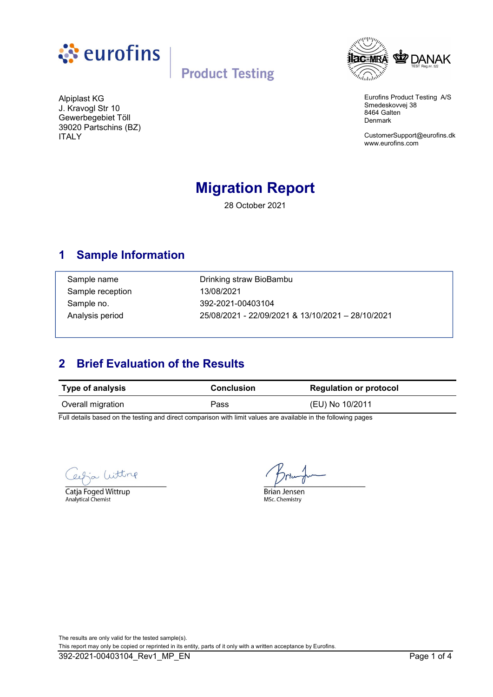

# **Product Testing**



Eurofins Product Testing A/S Smedeskovvej 38 8464 Galten Denmark

[CustomerSupport@eurofins.dk](mailto:CustomerSupport@eurofins.dk) <www.eurofins.com>

J. Kravogl Str 10 Gewerbegebiet Töll 39020 Partschins (BZ) ITALY

Alpiplast KG

# **Migration Report**

28 October 2021

### **1 Sample Information**

Sample reception 13/08/2021

Sample name **Drinking straw BioBambu** Sample no. 392-2021-00403104 Analysis period 25/08/2021 - 22/09/2021 & 13/10/2021 – 28/10/2021

## **2 Brief Evaluation of the Results**

| <b>Type of analysis</b> | <b>Conclusion</b> | <b>Regulation or protocol</b> |
|-------------------------|-------------------|-------------------------------|
| Overall migration       | Pass              | (EU) No 10/2011               |

Full details based on the testing and direct comparison with limit values are available in the following pages

Witting

Catja Foged Wittrup Analytical Chemist

**Brian Jensen** 

MSc. Chemistry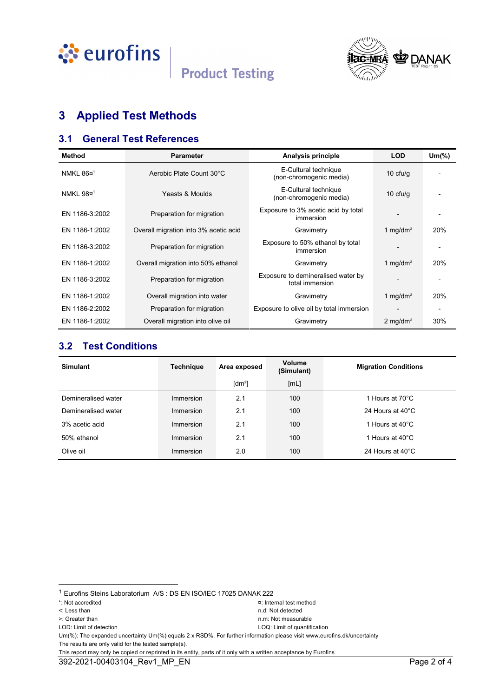

# **Product Testing**



# **3 Applied Test Methods**

#### **3.1 General Test References**

| <b>Method</b>         | <b>Parameter</b>                                                   | Analysis principle                                      | <b>LOD</b>             | $Um(\%)$ |
|-----------------------|--------------------------------------------------------------------|---------------------------------------------------------|------------------------|----------|
| NMKL 86¤ <sup>1</sup> | Aerobic Plate Count 30°C                                           | E-Cultural technique<br>(non-chromogenic media)         | $10$ cfu/g             |          |
| NMKL 98¤ <sup>1</sup> | E-Cultural technique<br>Yeasts & Moulds<br>(non-chromogenic media) |                                                         | $10 \text{ cfu/q}$     |          |
| EN 1186-3:2002        | Preparation for migration                                          | Exposure to 3% acetic acid by total<br><i>immersion</i> |                        |          |
| EN 1186-1:2002        | Overall migration into 3% acetic acid                              | Gravimetry                                              | 1 mg/dm <sup>2</sup>   | 20%      |
| EN 1186-3:2002        | Preparation for migration                                          | Exposure to 50% ethanol by total<br>immersion           |                        |          |
| EN 1186-1:2002        | Overall migration into 50% ethanol                                 | Gravimetry                                              | 1 mg/dm <sup>2</sup>   | 20%      |
| EN 1186-3:2002        | Preparation for migration                                          | Exposure to demineralised water by<br>total immersion   |                        |          |
| EN 1186-1:2002        | Overall migration into water                                       | Gravimetry                                              | 1 mg/dm <sup>2</sup>   | 20%      |
| EN 1186-2:2002        | Preparation for migration                                          | Exposure to olive oil by total immersion                |                        |          |
| EN 1186-1:2002        | Overall migration into olive oil                                   | Gravimetry                                              | $2$ mg/dm <sup>2</sup> | 30%      |

#### **3.2 Test Conditions**

| <b>Simulant</b>     | <b>Technique</b> | Area exposed   | Volume<br>(Simulant) | <b>Migration Conditions</b> |
|---------------------|------------------|----------------|----------------------|-----------------------------|
|                     |                  | $\text{[dm}^2$ | [ML]                 |                             |
| Demineralised water | Immersion        | 2.1            | 100                  | 1 Hours at 70°C             |
| Demineralised water | Immersion        | 2.1            | 100                  | 24 Hours at $40^{\circ}$ C  |
| 3% acetic acid      | Immersion        | 2.1            | 100                  | 1 Hours at 40°C             |
| 50% ethanol         | Immersion        | 2.1            | 100                  | 1 Hours at 40°C             |
| Olive oil           | Immersion        | 2.0            | 100                  | 24 Hours at 40°C            |

1

- 
- 

<sup>1</sup> Eurofins Steins Laboratorium A/S : DS EN ISO/IEC 17025 DANAK 222

<sup>\*:</sup> Not accredited ¤: Internal test method

<sup>&</sup>lt;: Less than n.d: Not detected >: Greater than new state of the number of the number of the number of the number of the number of the number of the number of the number of the number of the number of the number of the number of the number of the number

LOD: Limit of detection LOQ: Limit of quantification

Um(%): The expanded uncertainty Um(%) equals 2 x RSD%. For further information please visit <www.eurofins.dk/uncertainty> The results are only valid for the tested sample(s).

This report may only be copied or reprinted in its entity, parts of it only with a written acceptance by Eurofins.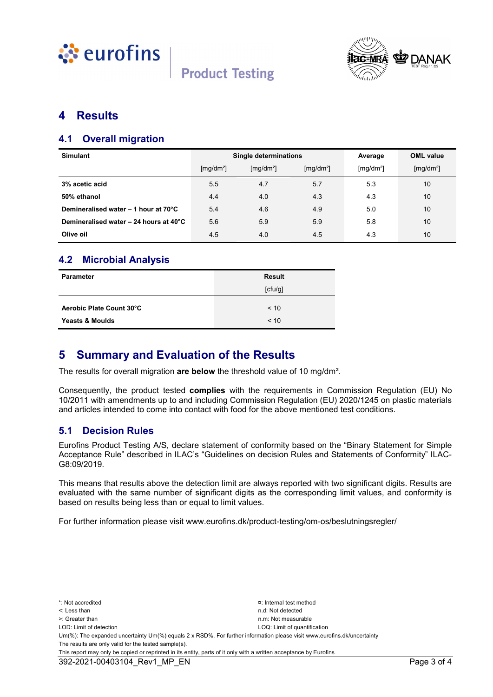





#### **4 Results**

#### **4.1 Overall migration**

| <b>Simulant</b>                        | <b>Single determinations</b>   |                       |                       | Average               | <b>OML</b> value      |
|----------------------------------------|--------------------------------|-----------------------|-----------------------|-----------------------|-----------------------|
|                                        | $\left[\frac{mq}{dm^2}\right]$ | [mq/dm <sup>2</sup> ] | [mg/dm <sup>2</sup> ] | [mg/dm <sup>2</sup> ] | [mg/dm <sup>2</sup> ] |
| 3% acetic acid                         | 5.5                            | 4.7                   | 5.7                   | 5.3                   | 10                    |
| 50% ethanol                            | 4.4                            | 4.0                   | 4.3                   | 4.3                   | 10                    |
| Demineralised water - 1 hour at 70°C   | 5.4                            | 4.6                   | 4.9                   | 5.0                   | 10                    |
| Demineralised water - 24 hours at 40°C | 5.6                            | 5.9                   | 5.9                   | 5.8                   | 10                    |
| Olive oil                              | 4.5                            | 4.0                   | 4.5                   | 4.3                   | 10                    |

#### **4.2 Microbial Analysis**

| <b>Parameter</b>           | <b>Result</b> |  |  |
|----------------------------|---------------|--|--|
|                            | [ctu/g]       |  |  |
| Aerobic Plate Count 30°C   | < 10          |  |  |
| <b>Yeasts &amp; Moulds</b> | < 10          |  |  |

#### **5 Summary and Evaluation of the Results**

The results for overall migration **are below** the threshold value of 10 mg/dm².

Consequently, the product tested **complies** with the requirements in Commission Regulation (EU) No 10/2011 with amendments up to and including Commission Regulation (EU) 2020/1245 on plastic materials and articles intended to come into contact with food for the above mentioned test conditions.

#### **5.1 Decision Rules**

Eurofins Product Testing A/S, declare statement of conformity based on the "Binary Statement for Simple Acceptance Rule" described in ILAC's "Guidelines on decision Rules and Statements of Conformity" ILAC-G8:09/2019.

This means that results above the detection limit are always reported with two significant digits. Results are evaluated with the same number of significant digits as the corresponding limit values, and conformity is based on results being less than or equal to limit values.

For further information please visit <www.eurofins.dk/product-testing/om-os/beslutningsregler/>

\*: Not accredited ¤: Internal test method <: Less than n.d: Not detected >: Greater than n.m: Not measurable LOD: Limit of detection LOQ: Limit of quantification Um(%): The expanded uncertainty Um(%) equals 2 x RSD%. For further information please visit <www.eurofins.dk/uncertainty> The results are only valid for the tested sample(s). This report may only be copied or reprinted in its entity, parts of it only with a written acceptance by Eurofins.